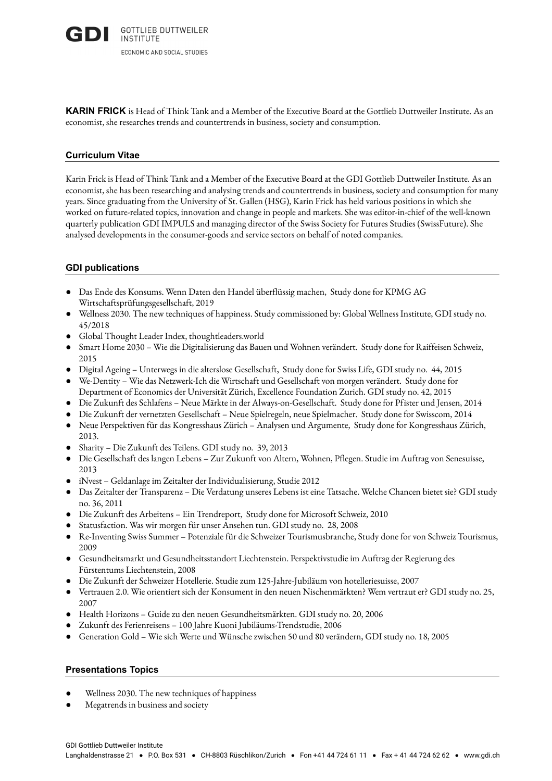**KARIN FRICK** is Head of Think Tank and a Member of the Executive Board at the Gottlieb Duttweiler Institute. As an economist, she researches trends and countertrends in business, society and consumption.

### **Curriculum Vitae**

Karin Frick is Head of Think Tank and a Member of the Executive Board at the GDI Gottlieb Duttweiler Institute. As an economist, she has been researching and analysing trends and countertrends in business, society and consumption for many years. Since graduating from the University of St. Gallen (HSG), Karin Frick has held various positions in which she worked on future-related topics, innovation and change in people and markets. She was editor-in-chief of the well-known quarterly publication GDI IMPULS and managing director of the Swiss Society for Futures Studies (SwissFuture). She analysed developments in the consumer-goods and service sectors on behalf of noted companies.

# **GDI publications**

- Das Ende des Konsums. Wenn Daten den Handel überflüssig machen, Study done for KPMG AG Wirtschaftsprüfungsgesellschaft, 2019
- Wellness 2030. The new techniques of happiness. Study commissioned by: Global Wellness Institute, GDI study no. 45/2018
- Global Thought Leader Index, thoughtleaders.world
- Smart Home 2030 Wie die Digitalisierung das Bauen und Wohnen verändert. Study done for Raiffeisen Schweiz, 2015
- Digital Ageing Unterwegs in die alterslose Gesellschaft, Study done for Swiss Life, GDI study no. 44, 2015
- We-Dentity Wie das Netzwerk-Ich die Wirtschaft und Gesellschaft von morgen verändert. Study done for Department of Economics der Universität Zürich, Excellence Foundation Zurich. GDI study no. 42, 2015
- Die Zukunft des Schlafens Neue Märkte in der Always-on-Gesellschaft. Study done for Pfister und Jensen, 2014
- · Die Zukunft der vernetzten Gesellschaft Neue Spielregeln, neue Spielmacher. Study done for Swisscom, 2014
- · Neue Perspektiven für das Kongresshaus Zürich Analysen und Argumente, Study done for Kongresshaus Zürich, 2013.
- Sharity Die Zukunft des Teilens. GDI study no. 39, 2013
- Die Gesellschaft des langen Lebens Zur Zukunft von Altern, Wohnen, Pflegen. Studie im Auftrag von Senesuisse, 2013
- · iNvest Geldanlage im Zeitalter der Individualisierung, Studie 2012
- Das Zeitalter der Transparenz Die Verdatung unseres Lebens ist eine Tatsache. Welche Chancen bietet sie? GDI study no. 36, 2011
- Die Zukunft des Arbeitens Ein Trendreport, Study done for Microsoft Schweiz, 2010
- Statusfaction. Was wir morgen für unser Ansehen tun. GDI study no. 28, 2008
- Re-Inventing Swiss Summer Potenziale für die Schweizer Tourismusbranche, Study done for von Schweiz Tourismus, 2009
- Gesundheitsmarkt und Gesundheitsstandort Liechtenstein. Perspektivstudie im Auftrag der Regierung des Fürstentums Liechtenstein, 2008
- Die Zukunft der Schweizer Hotellerie. Studie zum 125-Jahre-Jubiläum von hotelleriesuisse, 2007
- Vertrauen 2.0. Wie orientiert sich der Konsument in den neuen Nischenmärkten? Wem vertraut er? GDI study no. 25, 2007
- · Health Horizons Guide zu den neuen Gesundheitsmärkten. GDI study no. 20, 2006
- Zukunft des Ferienreisens 100 Jahre Kuoni Jubiläums-Trendstudie, 2006
- Generation Gold Wie sich Werte und Wünsche zwischen 50 und 80 verändern, GDI study no. 18, 2005

# **Presentations Topics**

- Wellness 2030. The new techniques of happiness
- Megatrends in business and society